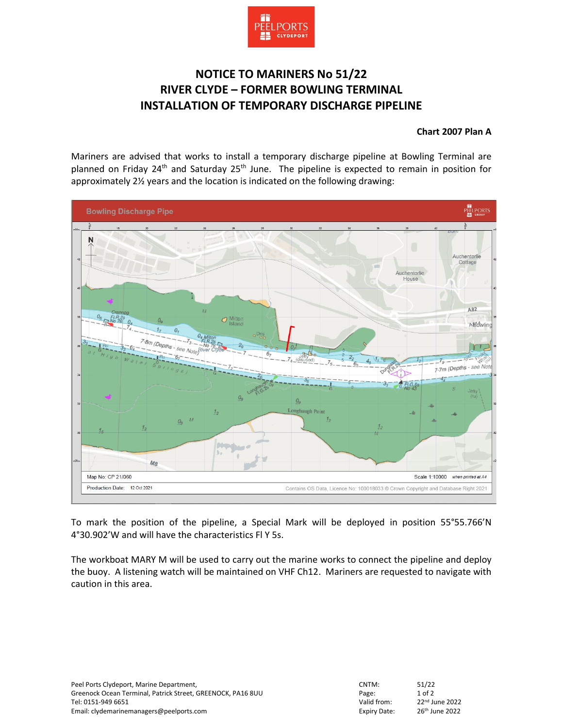

## **NOTICE TO MARINERS No 51/22 RIVER CLYDE – FORMER BOWLING TERMINAL INSTALLATION OF TEMPORARY DISCHARGE PIPELINE**

**Chart 2007 Plan A**

Mariners are advised that works to install a temporary discharge pipeline at Bowling Terminal are planned on Friday 24<sup>th</sup> and Saturday 25<sup>th</sup> June. The pipeline is expected to remain in position for approximately 2½ years and the location is indicated on the following drawing:



To mark the position of the pipeline, a Special Mark will be deployed in position 55°55.766'N 4°30.902'W and will have the characteristics Fl Y 5s.

The workboat MARY M will be used to carry out the marine works to connect the pipeline and deploy the buoy. A listening watch will be maintained on VHF Ch12. Mariners are requested to navigate with caution in this area.